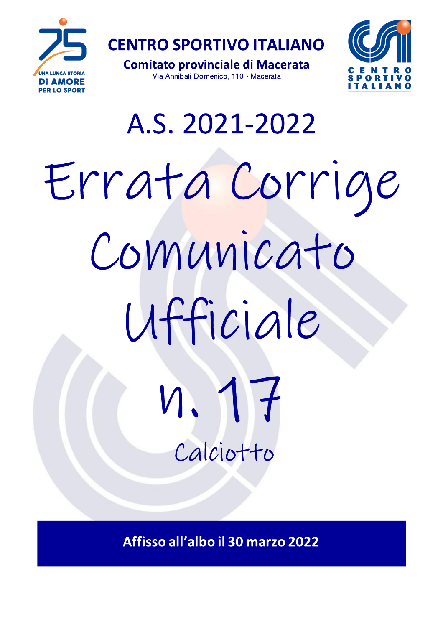

**CENTRO SPORTIVO ITALIANO** 

**Comitato provinciale di Macerata** Via Annibali Domenico, 110 - Macerata



# A.S. 2021-2022 Errata Corrige Comunicato Ufficiale  $M_{\bullet}$ Calciotto

Affisso all'albo il 30 marzo 2022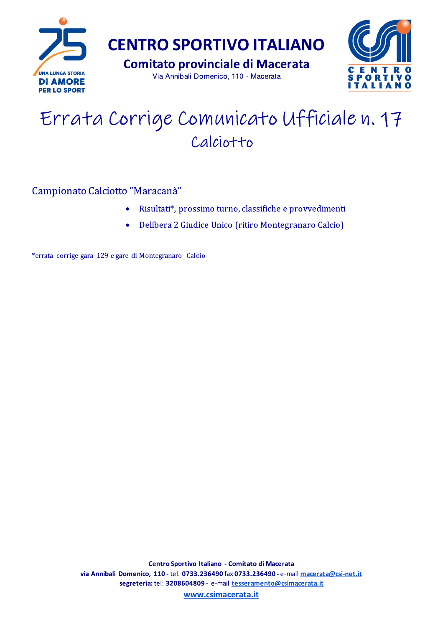

## Errata Corrige Comunicato Ufficiale n. 17 Calciotto

## Campionato Calciotto "Maracanà"

- Risultati\*, prossimo turno, classifiche e provvedimenti  $\bullet$
- Delibera 2 Giudice Unico (ritiro Montegranaro Calcio)  $\bullet$

\*errata corrige gara 129 e gare di Montegranaro Calcio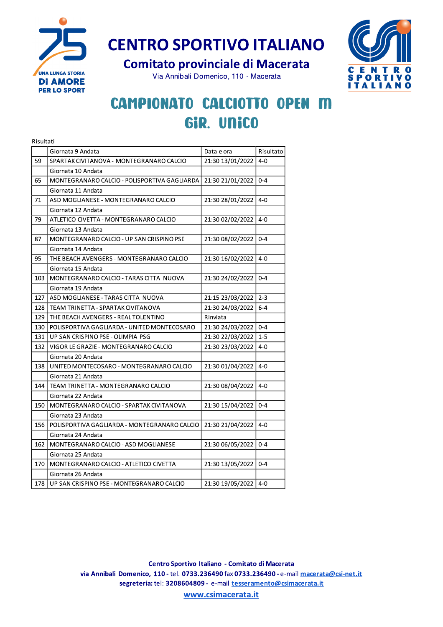

**CENTRO SPORTIVO ITALIANO** 



## INTRO SPORTIVO ITALIANO<br>
Comitato provinciale di Macerata<br>
Via Annibali Domenico, 110 - Macerata<br> **MPIONATO CALCIOTTO OPEN M<br>
GIR. UNICO** CAMPIONATO CALCIOTTO OPEN M GiR. UNICO

|     | Risultati                                    |                  |           |  |  |  |  |
|-----|----------------------------------------------|------------------|-----------|--|--|--|--|
|     | Giornata 9 Andata                            | Data e ora       | Risultato |  |  |  |  |
| 59  | SPARTAK CIVITANOVA - MONTEGRANARO CALCIO     | 21:30 13/01/2022 | $4 - 0$   |  |  |  |  |
|     | Giornata 10 Andata                           |                  |           |  |  |  |  |
| 65  | MONTEGRANARO CALCIO - POLISPORTIVA GAGLIARDA | 21:30 21/01/2022 | $0 - 4$   |  |  |  |  |
|     | Giornata 11 Andata                           |                  |           |  |  |  |  |
| 71  | ASD MOGLIANESE - MONTEGRANARO CALCIO         | 21:30 28/01/2022 | $4 - 0$   |  |  |  |  |
|     | Giornata 12 Andata                           |                  |           |  |  |  |  |
| 79  | ATLETICO CIVETTA - MONTEGRANARO CALCIO       | 21:30 02/02/2022 | $4 - 0$   |  |  |  |  |
|     | Giornata 13 Andata                           |                  |           |  |  |  |  |
| 87  | MONTEGRANARO CALCIO - UP SAN CRISPINO PSE    | 21:30 08/02/2022 | $0 - 4$   |  |  |  |  |
|     | Giornata 14 Andata                           |                  |           |  |  |  |  |
| 95  | THE BEACH AVENGERS - MONTEGRANARO CALCIO     | 21:30 16/02/2022 | $4 - 0$   |  |  |  |  |
|     | Giornata 15 Andata                           |                  |           |  |  |  |  |
| 103 | MONTEGRANARO CALCIO - TARAS CITTA NUOVA      | 21:30 24/02/2022 | $0 - 4$   |  |  |  |  |
|     | Giornata 19 Andata                           |                  |           |  |  |  |  |
| 127 | ASD MOGLIANESE - TARAS CITTA NUOVA           | 21:15 23/03/2022 | $2 - 3$   |  |  |  |  |
| 128 | TEAM TRINETTA - SPARTAK CIVITANOVA           | 21:30 24/03/2022 | $6 - 4$   |  |  |  |  |
| 129 | THE BEACH AVENGERS - REAL TOLENTINO          | Rinviata         |           |  |  |  |  |
| 130 | POLISPORTIVA GAGLIARDA - UNITED MONTECOSARO  | 21:30 24/03/2022 | $0 - 4$   |  |  |  |  |
| 131 | UP SAN CRISPINO PSE - OLIMPIA PSG            | 21:30 22/03/2022 | $1 - 5$   |  |  |  |  |
| 132 | VIGOR LE GRAZIE - MONTEGRANARO CALCIO        | 21:30 23/03/2022 | $4 - 0$   |  |  |  |  |
|     | Giornata 20 Andata                           |                  |           |  |  |  |  |
| 138 | UNITED MONTECOSARO - MONTEGRANARO CALCIO     | 21:30 01/04/2022 | $4 - 0$   |  |  |  |  |
|     | Giornata 21 Andata                           |                  |           |  |  |  |  |
| 144 | TEAM TRINETTA - MONTEGRANARO CALCIO          | 21:30 08/04/2022 | $4 - 0$   |  |  |  |  |
|     | Giornata 22 Andata                           |                  |           |  |  |  |  |
| 150 | MONTEGRANARO CALCIO - SPARTAK CIVITANOVA     | 21:30 15/04/2022 | $0 - 4$   |  |  |  |  |
|     | Giornata 23 Andata                           |                  |           |  |  |  |  |
| 156 | POLISPORTIVA GAGLIARDA - MONTEGRANARO CALCIO | 21:30 21/04/2022 | $4 - 0$   |  |  |  |  |
|     | Giornata 24 Andata                           |                  |           |  |  |  |  |
| 162 | MONTEGRANARO CALCIO - ASD MOGLIANESE         | 21:30 06/05/2022 | $0 - 4$   |  |  |  |  |
|     | Giornata 25 Andata                           |                  |           |  |  |  |  |
| 170 | MONTEGRANARO CALCIO - ATLETICO CIVETTA       | 21:30 13/05/2022 | $0 - 4$   |  |  |  |  |
|     | Giornata 26 Andata                           |                  |           |  |  |  |  |
| 178 | UP SAN CRISPINO PSE - MONTEGRANARO CALCIO    | 21:30 19/05/2022 | $4 - 0$   |  |  |  |  |

Centro Sportivo Italiano - Comitato di Macerata via Annibali Domenico, 110 - tel. 0733.236490 fax 0733.236490 - e-mail macerata@csi-net.it segreteria: tel: 3208604809 - e-mail tesseramento@csimacerata.it

www.csimacerata.it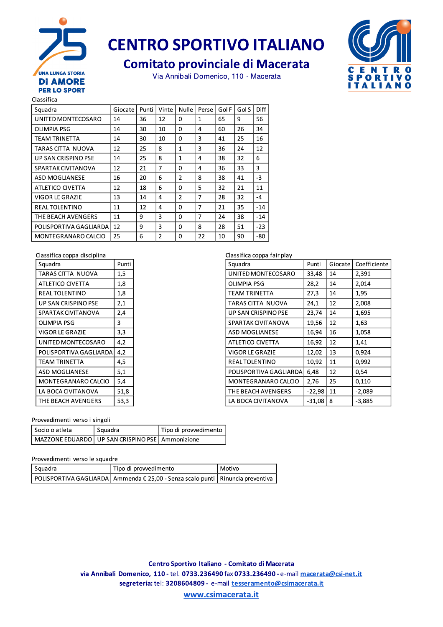

## **CENTRO SPORTIVO ITALIANO**

## **Comitato provinciale di Macerata**

Via Annibali Domenico, 110 - Macerata



Classifica

| Squadra                | Giocate | Punti | Vinte          | Nulle          | Perse | Gol F | Gol S | Diff  |
|------------------------|---------|-------|----------------|----------------|-------|-------|-------|-------|
| UNITED MONTECOSARO     | 14      | 36    | 12             | $\Omega$       | 1     | 65    | 9     | 56    |
| <b>OLIMPIA PSG</b>     | 14      | 30    | 10             | 0              | 4     | 60    | 26    | 34    |
| TEAM TRINETTA          | 14      | 30    | 10             | 0              | 3     | 41    | 25    | 16    |
| TARAS CITTA NUOVA      | 12      | 25    | 8              | 1              | 3     | 36    | 24    | 12    |
| UP SAN CRISPINO PSE    | 14      | 25    | 8              | $\mathbf{1}$   | 4     | 38    | 32    | 6     |
| SPARTAK CIVITANOVA     | 12      | 21    | 7              | 0              | 4     | 36    | 33    | 3     |
| ASD MOGLIANESE         | 16      | 20    | 6              | $\overline{2}$ | 8     | 38    | 41    | $-3$  |
| ATLETICO CIVETTA       | 12      | 18    | 6              | 0              | 5     | 32    | 21    | 11    |
| VIGOR LE GRAZIE        | 13      | 14    | 4              | $\overline{2}$ | 7     | 28    | 32    | $-4$  |
| <b>REAL TOLENTINO</b>  | 11      | 12    | 4              | $\Omega$       | 7     | 21    | 35    | $-14$ |
| THE BEACH AVENGERS     | 11      | 9     | 3              | 0              | 7     | 24    | 38    | $-14$ |
| POLISPORTIVA GAGLIARDA | 12      | 9     | 3              | 0              | 8     | 28    | 51    | $-23$ |
| MONTEGRANARO CALCIO    | 25      | 6     | $\overline{2}$ | 0              | 22    | 10    | 90    | -80   |

#### Classifica coppa disciplina

| Squadra                | Punti |
|------------------------|-------|
| TARAS CITTA NUOVA      | 1,5   |
| ATLETICO CIVETTA       | 1,8   |
| REAL TOLENTINO         | 1,8   |
| UP SAN CRISPINO PSE    | 2,1   |
| SPARTAK CIVITANOVA     | 2,4   |
| OLIMPIA PSG            | 3     |
| VIGOR LE GRAZIE        | 3,3   |
| UNITED MONTECOSARO     | 4,2   |
| POLISPORTIVA GAGLIARDA | 4.2   |
| TEAM TRINETTA          | 4.5   |
| <b>ASD MOGLIANESE</b>  | 5,1   |
| MONTEGRANARO CALCIO    | 5,4   |
| LA BOCA CIVITANOVA     | 51,8  |
| THE BEACH AVENGERS     | 53,3  |

### Classifica conna fair play

| Classifica coppa Tali piav<br>Squadra | Punti    | Giocate | Coefficiente |
|---------------------------------------|----------|---------|--------------|
| UNITED MONTECOSARO                    | 33,48    | 14      | 2,391        |
| OLIMPIA PSG                           | 28,2     | 14      | 2,014        |
| TEAM TRINETTA                         | 27,3     | 14      | 1,95         |
| TARAS CITTA NUOVA                     | 24,1     | 12      | 2,008        |
| <b>UP SAN CRISPINO PSE</b>            | 23,74    | 14      | 1,695        |
| SPARTAK CIVITANOVA                    | 19,56    | 12      | 1,63         |
| <b>ASD MOGLIANESE</b>                 | 16,94    | 16      | 1,058        |
| <b>ATLETICO CIVETTA</b>               | 16,92    | 12      | 1,41         |
| VIGOR LE GRAZIE                       | 12,02    | 13      | 0,924        |
| REAL TOLENTINO                        | 10,92    | 11      | 0,992        |
| POLISPORTIVA GAGLIARDA                | 6,48     | 12      | 0.54         |
| MONTEGRANARO CALCIO                   | 2,76     | 25      | 0,110        |
| THE BEACH AVENGERS                    | $-22,98$ | 11      | $-2,089$     |
| LA BOCA CIVITANOVA                    | $-31,08$ | 8       | $-3,885$     |

#### Provvedimenti verso i singoli

| Socio o atleta | Squadra                                         | Tipo di provvedimento |
|----------------|-------------------------------------------------|-----------------------|
|                | MAZZONE EDUARDO UP SAN CRISPINO PSE Ammonizione |                       |

#### Provvedimenti verso le squadre

| Squadra | Tipo di provvedimento                                                              | Motivo |
|---------|------------------------------------------------------------------------------------|--------|
|         | POLISPORTIVA GAGLIARDA   Ammenda € 25,00 - Senza scalo punti   Rinuncia preventiva |        |